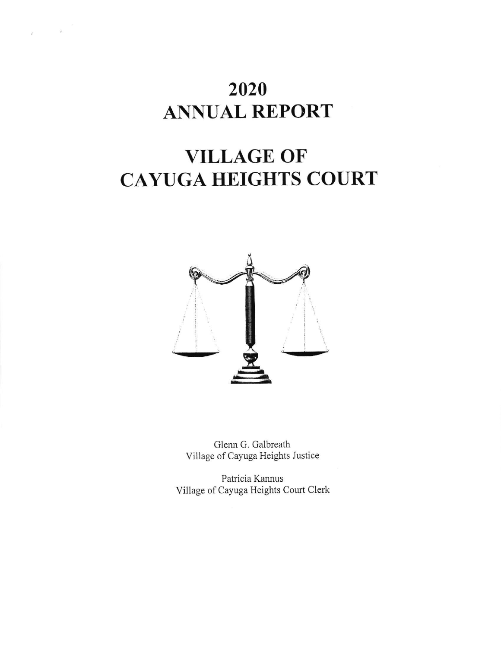## 2020 ANNUAL REPORT

 $\bar{q}$ 

# VILLAGE OF CAYUGA HEIGHTS COURT



Glenn G. Galbreath Village of Cayuga Heights Justice

Patricia Kannus Village of Cayuga Heights Court Clerk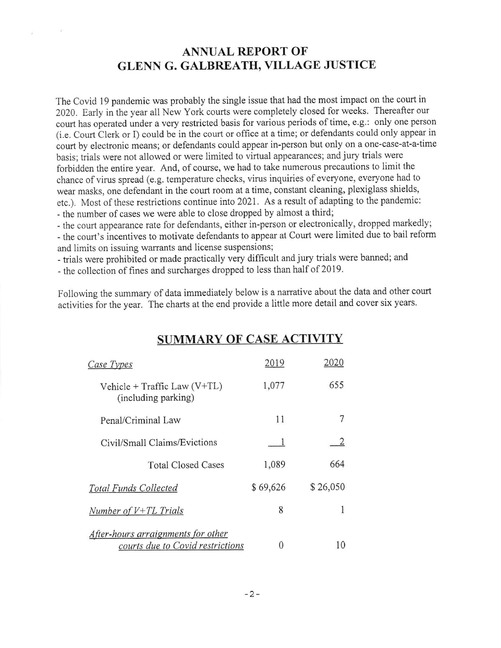## ANNUAL REPORT OF GLENN G. GALBREATH, VILLAGE JUSTICE

The covid l9 pandemic was probably the single issue that had the most impact on the court in 2020. Early in the year all New York courts were completely closed for weeks. Thereafter our court has operated under a very restricted basis for various periods of time, e.g.: only one person (i.e. Court Clerk or I) could be in the court or office at a time; or defendants could only appear in court by electronic means; or defendants could appear in-person but only on a one-case-at-a-time basis; trials were not allowed or were limited to virtual appearances; and jury trials were forbidden the entire year. And, of course, we had to take numerous precautions to limit the chance of virus spread (e.g. temperature checks, virus inquiries of everyone, everyone had to wear masks, one defendant in the court room at a time, constant cleaning, plexiglass shields, etc.). Most of these restrictions continue into 2021. As a result of adapting to the pandemic: - the number of cases we were able to close dropped by almost a third;

- the court appearance rate for defendants, either in-person or electronically, dropped markedly;

- the court's incentives to motivate defendants to appear at Court were limited due to bail reform and limits on issuing warrants and license suspensions;

- trials were prohibited or made practically very difficult andjury trials were banned; and

- the collection of fines and surcharges dropped to less than half of 2019.

Following the summary of data immediately below is a narrative about the data and other court activilies for the year. The charts at the end provide a little more detail and cover six years.

| Case Types                                                             | 2019     | 2020     |
|------------------------------------------------------------------------|----------|----------|
| Vehicle + Traffic Law $(V+TL)$<br>(including parking)                  | 1,077    | 655      |
| Penal/Criminal Law                                                     | 11       | 7        |
| Civil/Small Claims/Evictions                                           |          |          |
| <b>Total Closed Cases</b>                                              | 1,089    | 664      |
| <b>Total Funds Collected</b>                                           | \$69,626 | \$26,050 |
| Number of $V+TL$ Trials                                                | 8        |          |
| After-hours arraignments for other<br>courts due to Covid restrictions |          | 10       |

## SUMMARY OF CASE ACTIVITY